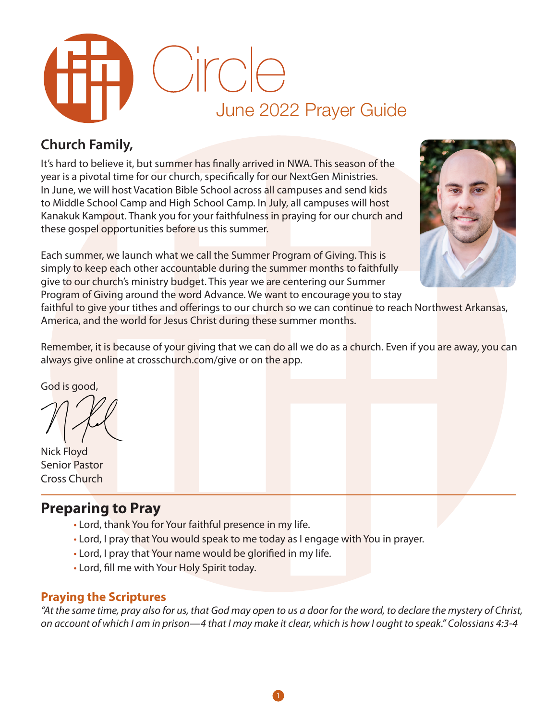

# **Church Family,**

It's hard to believe it, but summer has finally arrived in NWA. This season of the year is a pivotal time for our church, specifically for our NextGen Ministries. In June, we will host Vacation Bible School across all campuses and send kids to Middle School Camp and High School Camp. In July, all campuses will host Kanakuk Kampout. Thank you for your faithfulness in praying for our church and these gospel opportunities before us this summer.

Each summer, we launch what we call the Summer Program of Giving. This is simply to keep each other accountable during the summer months to faithfully give to our church's ministry budget. This year we are centering our Summer Program of Giving around the word Advance. We want to encourage you to stay



faithful to give your tithes and offerings to our church so we can continue to reach Northwest Arkansas, America, and the world for Jesus Christ during these summer months.

Remember, it is because of your giving that we can do all we do as a church. Even if you are away, you can always give online at crosschurch.com/give or on the app.

God is good,

Nick Floyd Senior Pastor Cross Church

# **Preparing to Pray**

- Lord, thank You for Your faithful presence in my life.
- Lord, I pray that You would speak to me today as I engage with You in prayer.
- Lord, I pray that Your name would be glorified in my life.
- Lord, fill me with Your Holy Spirit today.

### **Praying the Scriptures**

*"At the same time, pray also for us, that God may open to us a door for the word, to declare the mystery of Christ, on account of which I am in prison—4 that I may make it clear, which is how I ought to speak." Colossians 4:3-4*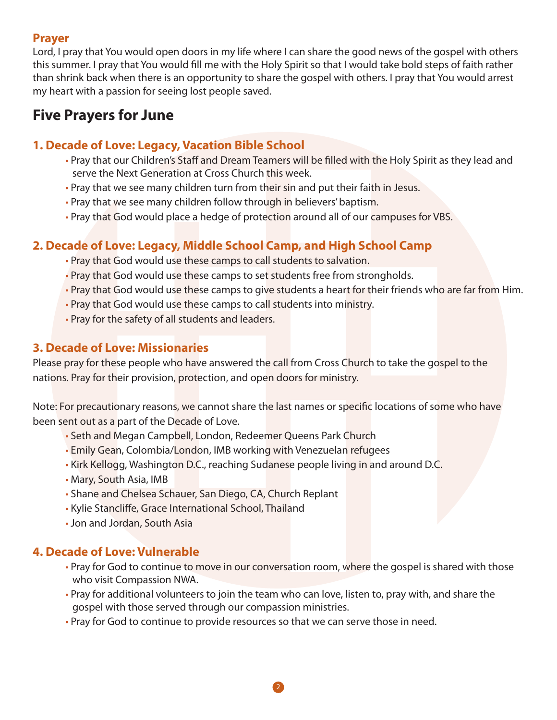### **Prayer**

Lord, I pray that You would open doors in my life where I can share the good news of the gospel with others this summer. I pray that You would fill me with the Holy Spirit so that I would take bold steps of faith rather than shrink back when there is an opportunity to share the gospel with others. I pray that You would arrest my heart with a passion for seeing lost people saved.

# **Five Prayers for June**

## **1. Decade of Love: Legacy, Vacation Bible School**

- Pray that our Children's Staff and Dream Teamers will be filled with the Holy Spirit as they lead and serve the Next Generation at Cross Church this week.
- Pray that we see many children turn from their sin and put their faith in Jesus.
- Pray that we see many children follow through in believers' baptism.
- Pray that God would place a hedge of protection around all of our campuses for VBS.

# **2. Decade of Love: Legacy, Middle School Camp, and High School Camp**

- Pray that God would use these camps to call students to salvation.
- Pray that God would use these camps to set students free from strongholds.
- Pray that God would use these camps to give students a heart for their friends who are far from Him.
- Pray that God would use these camps to call students into ministry.
- Pray for the safety of all students and leaders.

### **3. Decade of Love: Missionaries**

Please pray for these people who have answered the call from Cross Church to take the gospel to the nations. Pray for their provision, protection, and open doors for ministry.

Note: For precautionary reasons, we cannot share the last names or specific locations of some who have been sent out as a part of the Decade of Love.

- Seth and Megan Campbell, London, Redeemer Queens Park Church
- Emily Gean, Colombia/London, IMB working with Venezuelan refugees
- Kirk Kellogg, Washington D.C., reaching Sudanese people living in and around D.C.
- Mary, South Asia, IMB
- Shane and Chelsea Schauer, San Diego, CA, Church Replant
- Kylie Stancliffe, Grace International School, Thailand
- Jon and Jordan, South Asia

### **4. Decade of Love: Vulnerable**

- Pray for God to continue to move in our conversation room, where the gospel is shared with those who visit Compassion NWA.
- Pray for additional volunteers to join the team who can love, listen to, pray with, and share the gospel with those served through our compassion ministries.
- Pray for God to continue to provide resources so that we can serve those in need.